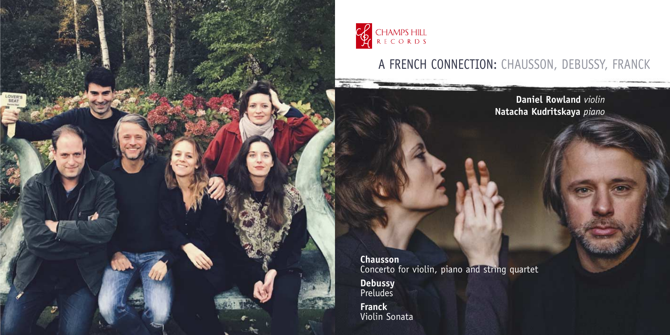

 $\overline{\phantom{a}}$ 

# A FRENCH CONNECTION: CHAUSSON, DEBUSSY, FRANCK

**Daniel Rowland** *violin* **Natacha Kudritskaya** *piano*

**Chausson** Concerto for violin, piano and string quartet

**Debussy** Preludes

**Franck** Violin Sonata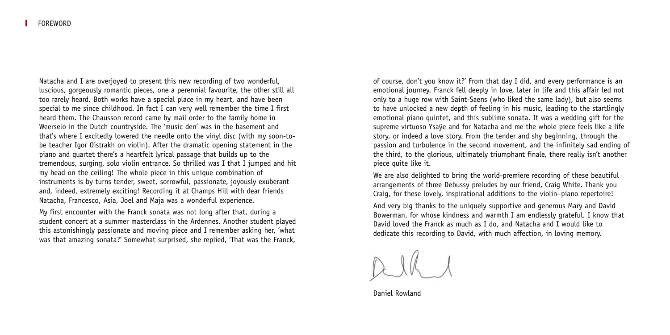Natacha and I are overjoyed to present this new recording of two wonderful, luscious, gorgeously romantic pieces, one a perennial favourite, the other still all too rarely heard. Both works have a special place in my heart, and have been special to me since childhood. In fact I can very well remember the time I first heard them. The Chausson record came by mail order to the family home in Weerselo in the Dutch countryside. The 'music den' was in the basement and that's where I excitedly lowered the needle onto the vinyl disc (with my soon-tobe teacher Igor Oistrakh on violin). After the dramatic opening statement in the piano and quartet there's a heartfelt lyrical passage that builds up to the tremendous, surging, solo violin entrance. So thrilled was I that I jumped and hit my head on the ceiling! The whole piece in this unique combination of instruments is by turns tender, sweet, sorrowful, passionate, joyously exuberant and, indeed, extremely exciting! Recording it at Champs Hill with dear friends Natacha, Francesco, Asia, Joel and Maja was a wonderful experience.

My first encounter with the Franck sonata was not long after that, during a student concert at a summer masterclass in the Ardennes. Another student played this astonishingly passionate and moving piece and I remember asking her, 'what was that amazing sonata?' Somewhat surprised, she replied, 'That was the Franck,

of course, don't you know it?' From that day I did, and every performance is an emotional journey. Franck fell deeply in love, later in life and this affair led not only to a huge row with Saint-Saens (who liked the same lady), but also seems to have unlocked a new depth of feeling in his music, leading to the startlingly emotional piano quintet, and this sublime sonata. It was a wedding gift for the supreme virtuoso Ysaÿe and for Natacha and me the whole piece feels like a life story, or indeed a love story. From the tender and shy beginning, through the passion and turbulence in the second movement, and the infinitely sad ending of the third, to the glorious, ultimately triumphant finale, there really isn't another piece quite like it.

We are also delighted to bring the world-premiere recording of these beautiful arrangements of three Debussy preludes by our friend, Craig White. Thank you Craig, for these lovely, inspirational additions to the violin–piano repertoire!

And very big thanks to the uniquely supportive and generous Mary and David Bowerman, for whose kindness and warmth I am endlessly grateful. I know that David loved the Franck as much as I do, and Natacha and I would like to dedicate this recording to David, with much affection, in loving memory.

Daniel Rowland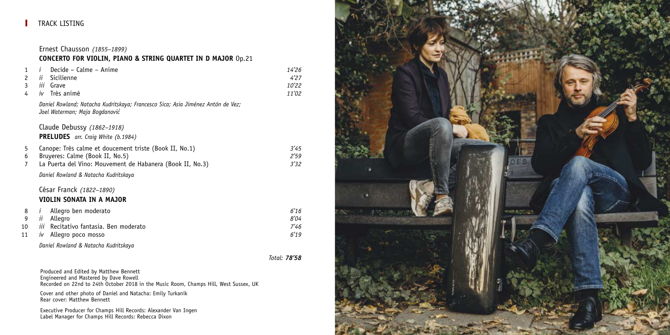# TRACK LISTING

Ernest Chausson *(1855–1899)* **CONCERTO FOR VIOLIN, PIANO & STRING QUARTET IN D MAJOR** Op.21

| 1              | Decide - Calme - Anime<br>i                                                                                       | 14'26 |
|----------------|-------------------------------------------------------------------------------------------------------------------|-------|
| $\overline{c}$ | ii<br>Sicilienne                                                                                                  | 4'27  |
| 3              | <i>iii</i> Grave                                                                                                  | 10'22 |
| 4              | $iv$ Très animé                                                                                                   | 11'02 |
|                | Daniel Rowland; Natacha Kudritskaya; Francesco Sica; Asia Jiménez Antón de Vez;<br>Joel Waterman; Maja Bogdanović |       |
|                | Claude Debussy (1862-1918)                                                                                        |       |
|                | <b>PRELUDES</b> arr. Craig White (b.1984)                                                                         |       |
| 5              | Canope: Très calme et doucement triste (Book II, No.1)                                                            | 3'45  |
| 6              | Bruyeres: Calme (Book II, No.5)                                                                                   | 2'59  |
| 7              | La Puerta del Vino: Mouvement de Habanera (Book II, No.3)                                                         | 3'32  |
|                | Daniel Rowland & Natacha Kudritskaya                                                                              |       |
|                | César Franck (1822-1890)                                                                                          |       |
|                | VIOLIN SONATA IN A MAJOR                                                                                          |       |
| 8              | Allegro ben moderato<br>$\mathbf{I}$                                                                              | 6'16  |
| 9              | Allegro<br>ÎÍ                                                                                                     | 8'04  |
| 10             | Recitativo fantasia. Ben moderato<br>ÎÎÎ                                                                          | 7'46  |
| 11             | Allegro poco mosso<br>$\dot{I}V$                                                                                  | 6'19  |
|                | Daniel Rowland & Natacha Kudritskaya                                                                              |       |

*Total: 78'58*

Produced and Edited by Matthew Bennett<br>Engineered and Mastered by Dave Rowell<br>Recorded on 22nd to 24th October 2018 in the Music Room, Champs Hill, West Sussex, UK

Cover and other photo of Daniel and Natacha: Emily Turkanik Rear cover: Matthew Bennett

Executive Producer for Champs Hill Records: Alexander Van Ingen Label Manager for Champs Hill Records: Rebecca Dixon

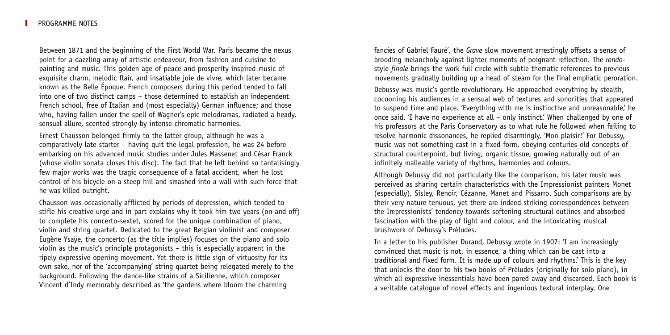Between 1871 and the beginning of the First World War, Paris became the nexus point for a dazzling array of artistic endeavour, from fashion and cuisine to painting and music. This golden age of peace and prosperity inspired music of exquisite charm, melodic flair, and insatiable joie de vivre, which later became known as the Belle Époque. French composers during this period tended to fall into one of two distinct camps – those determined to establish an independent French school, free of Italian and (most especially) German influence; and those who, having fallen under the spell of Wagner's epic melodramas, radiated a heady, sensual allure, scented strongly by intense chromatic harmonies.

Ernest Chausson belonged firmly to the latter group, although he was a comparatively late starter – having quit the legal profession, he was 24 before embarking on his advanced music studies under Jules Massenet and César Franck (whose violin sonata closes this disc). The fact that he left behind so tantalisingly few major works was the tragic consequence of a fatal accident, when he lost control of his bicycle on a steep hill and smashed into a wall with such force that he was killed outright.

Chausson was occasionally afflicted by periods of depression, which tended to stifle his creative urge and in part explains why it took him two years (on and off) to complete his concerto-sextet, scored for the unique combination of piano, violin and string quartet. Dedicated to the great Belgian violinist and composer Eugène Ysaÿe, the concerto (as the title implies) focuses on the piano and solo violin as the music's principle protagonists – this is especially apparent in the ripely expressive opening movement. Yet there is little sign of virtuosity for its own sake, nor of the 'accompanying' string quartet being relegated merely to the background. Following the dance-like strains of a Sicilienne, which composer Vincent d'Indy memorably described as 'the gardens where bloom the charming

fancies of Gabriel Fauré', the *Grave* slow movement arrestingly offsets a sense of brooding melancholy against lighter moments of poignant reflection. The *rondo*style *finale* brings the work full circle with subtle thematic references to previous movements gradually building up a head of steam for the final emphatic peroration.

Debussy was music's gentle revolutionary. He approached everything by stealth, cocooning his audiences in a sensual web of textures and sonorities that appeared to suspend time and place. 'Everything with me is instinctive and unreasonable,' he once said. 'I have no experience at all – only instinct.' When challenged by one of his professors at the Paris Conservatory as to what rule he followed when failing to resolve harmonic dissonances, he replied disarmingly, 'Mon plaisir!' For Debussy, music was not something cast in a fixed form, obeying centuries-old concepts of structural counterpoint, but living, organic tissue, growing naturally out of an infinitely malleable variety of rhythms, harmonies and colours.

Although Debussy did not particularly like the comparison, his later music was perceived as sharing certain characteristics with the Impressionist painters Monet (especially), Sisley, Renoir, Cézanne, Manet and Pissarro. Such comparisons are by their very nature tenuous, yet there are indeed striking correspondences between the Impressionists' tendency towards softening structural outlines and absorbed fascination with the play of light and colour, and the intoxicating musical brushwork of Debussy's Préludes.

In a letter to his publisher Durand, Debussy wrote in 1907: 'I am increasingly convinced that music is not, in essence, a thing which can be cast into a traditional and fixed form. It is made up of colours and rhythms.' This is the key that unlocks the door to his two books of Préludes (originally for solo piano), in which all expressive inessentials have been pared away and discarded. Each book is a veritable catalogue of novel effects and ingenious textural interplay. One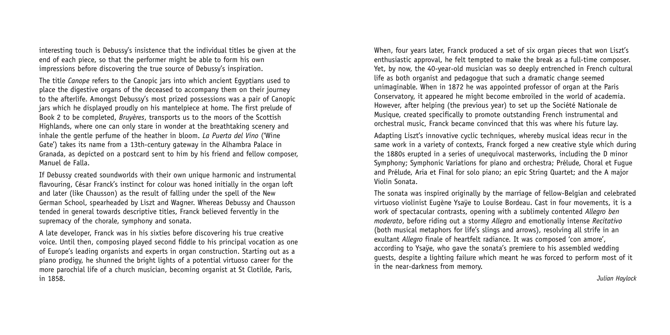interesting touch is Debussy's insistence that the individual titles be given at the end of each piece, so that the performer might be able to form his own impressions before discovering the true source of Debussy's inspiration.

The title *Canope* refers to the Canopic jars into which ancient Egyptians used to place the digestive organs of the deceased to accompany them on their journey to the afterlife. Amongst Debussy's most prized possessions was a pair of Canopic jars which he displayed proudly on his mantelpiece at home. The first prelude of Book 2 to be completed, *Bruyères*, transports us to the moors of the Scottish Highlands, where one can only stare in wonder at the breathtaking scenery and inhale the gentle perfume of the heather in bloom. *La Puerta del Vino* ('Wine Gate') takes its name from a 13th-century gateway in the Alhambra Palace in Granada, as depicted on a postcard sent to him by his friend and fellow composer, Manuel de Falla.

If Debussy created soundworlds with their own unique harmonic and instrumental flavouring, César Franck's instinct for colour was honed initially in the organ loft and later (like Chausson) as the result of falling under the spell of the New German School, spearheaded by Liszt and Wagner. Whereas Debussy and Chausson tended in general towards descriptive titles, Franck believed fervently in the supremacy of the chorale, symphony and sonata.

A late developer, Franck was in his sixties before discovering his true creative voice. Until then, composing played second fiddle to his principal vocation as one of Europe's leading organists and experts in organ construction. Starting out as a piano prodigy, he shunned the bright lights of a potential virtuoso career for the more parochial life of a church musician, becoming organist at St Clotilde, Paris, in 1858.

When, four years later, Franck produced a set of six organ pieces that won Liszt's enthusiastic approval, he felt tempted to make the break as a full-time composer. Yet, by now, the 40-year-old musician was so deeply entrenched in French cultural life as both organist and pedagogue that such a dramatic change seemed unimaginable. When in 1872 he was appointed professor of organ at the Paris Conservatory, it appeared he might become embroiled in the world of academia. However, after helping (the previous year) to set up the Société Nationale de Musique, created specifically to promote outstanding French instrumental and orchestral music, Franck became convinced that this was where his future lay.

Adapting Liszt's innovative cyclic techniques, whereby musical ideas recur in the same work in a variety of contexts, Franck forged a new creative style which during the 1880s erupted in a series of unequivocal masterworks, including the D minor Symphony; Symphonic Variations for piano and orchestra; Prélude, Choral et Fugue and Prélude, Aria et Final for solo piano; an epic String Quartet; and the A major Violin Sonata.

The sonata was inspired originally by the marriage of fellow-Belgian and celebrated virtuoso violinist Eugène Ysaÿe to Louise Bordeau. Cast in four movements, it is a work of spectacular contrasts, opening with a sublimely contented *Allegro ben moderato*, before riding out a stormy *Allegro* and emotionally intense *Recitativo* (both musical metaphors for life's slings and arrows), resolving all strife in an exultant *Allegro* finale of heartfelt radiance. It was composed 'con amore', according to Ysaÿe, who gave the sonata's premiere to his assembled wedding guests, despite a lighting failure which meant he was forced to perform most of it in the near-darkness from memory.

*Julian Haylock*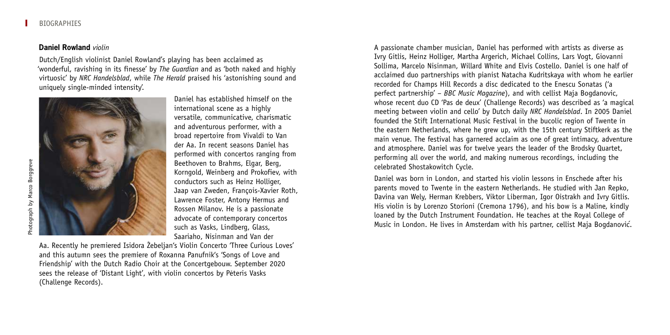#### **Daniel Rowland** *violin*

Dutch/English violinist Daniel Rowland's playing has been acclaimed as 'wonderful, ravishing in its finesse' by *The Guardian* and as 'both naked and highly virtuosic' by *NRC Handelsblad*, while *The Herald* praised his 'astonishing sound and uniquely single-minded intensity'.



Daniel has established himself on the international scene as a highly versatile, communicative, charismatic and adventurous performer, with a broad repertoire from Vivaldi to Van der Aa. In recent seasons Daniel has performed with concertos ranging from Beethoven to Brahms, Elgar, Berg, Korngold, Weinberg and Prokofiev, with conductors such as Heinz Holliger, Jaap van Zweden, François-Xavier Roth, Lawrence Foster, Antony Hermus and Rossen Milanov. He is a passionate advocate of contemporary concertos such as Vasks, Lindberg, Glass, Saariaho, Nisinman and Van der

Aa. Recently he premiered Isidora Žebeljan's Violin Concerto 'Three Curious Loves' and this autumn sees the premiere of Roxanna Panufnik's 'Songs of Love and Friendship' with the Dutch Radio Choir at the Concertgebouw. September 2020 sees the release of 'Distant Light', with violin concertos by Peteris Vasks (Challenge Records).

A passionate chamber musician, Daniel has performed with artists as diverse as Ivry Gitlis, Heinz Holliger, Martha Argerich, Michael Collins, Lars Vogt, Giovanni Sollima, Marcelo Nisinman, Willard White and Elvis Costello. Daniel is one half of acclaimed duo partnerships with pianist Natacha Kudritskaya with whom he earlier recorded for Champs Hill Records a disc dedicated to the Enescu Sonatas ('a perfect partnership' – *BBC Music Magazine*), and with cellist Maja Bogdanovic, whose recent duo CD 'Pas de deux' (Challenge Records) was described as 'a magical meeting between violin and cello' by Dutch daily *NRC Handelsblad*. In 2005 Daniel founded the Stift International Music Festival in the bucolic region of Twente in the eastern Netherlands, where he grew up, with the 15th century Stiftkerk as the main venue. The festival has garnered acclaim as one of great intimacy, adventure and atmosphere. Daniel was for twelve years the leader of the Brodsky Quartet, performing all over the world, and making numerous recordings, including the celebrated Shostakowitch Cycle.

Daniel was born in London, and started his violin lessons in Enschede after his parents moved to Twente in the eastern Netherlands. He studied with Jan Repko, Davina van Wely, Herman Krebbers, Viktor Liberman, Igor Oistrakh and Ivry Gitlis. His violin is by Lorenzo Storioni (Cremona 1796), and his bow is a Maline, kindly loaned by the Dutch Instrument Foundation. He teaches at the Royal College of Music in London. He lives in Amsterdam with his partner, cellist Maja Bogdanovic´.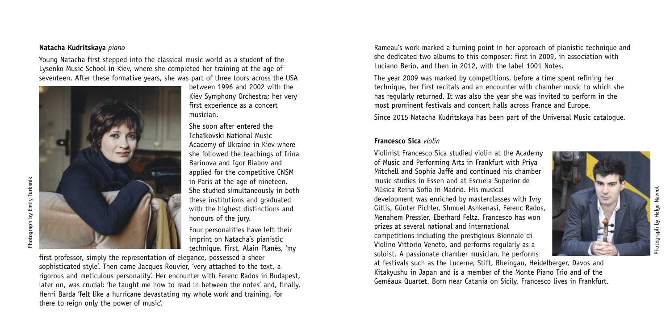#### **Natacha Kudritskaya** *piano*

hotograph by Emily Turkanik Photograph by Emily Turkanik

Young Natacha first stepped into the classical music world as a student of the Lysenko Music School in Kiev, where she completed her training at the age of seventeen. After these formative years, she was part of three tours across the USA



between 1996 and 2002 with the Kiev Symphony Orchestra; her very first experience as a concert musician.

She soon after entered the Tchaïkovski National Music Academy of Ukraine in Kiev where she followed the teachings of Irina Barinova and Igor Riabov and applied for the competitive CNSM in Paris at the age of nineteen. She studied simultaneously in both these institutions and graduated with the highest distinctions and honours of the jury.

Four personalities have left their imprint on Natacha's pianistic technique. First, Alain Planès, 'my

first professor, simply the representation of elegance, possessed a sheer sophisticated style'. Then came Jacques Rouvier, 'very attached to the text, a rigorous and meticulous personality'. Her encounter with Ferenc Rados in Budapest, later on, was crucial: 'he taught me how to read in between the notes' and, finally, Henri Barda 'felt like a hurricane devastating my whole work and training, for there to reign only the power of music'.

Rameau's work marked a turning point in her approach of pianistic technique and she dedicated two albums to this composer: first in 2009, in association with Luciano Berio, and then in 2012, with the label 1001 Notes.

The year 2009 was marked by competitions, before a time spent refining her technique, her first recitals and an encounter with chamber music to which she has regularly returned. It was also the year she was invited to perform in the most prominent festivals and concert halls across France and Europe.

Since 2015 Natacha Kudritskaya has been part of the Universal Music catalogue.

### **Francesco Sica** *violin*

Violinist Francesco Sica studied violin at the Academy of Music and Performing Arts in Frankfurt with Priya Mitchell and Sophia Jaffé and continued his chamber music studies in Essen and at Escuela Superior de Música Reina Sofia in Madrid. His musical development was enriched by masterclasses with Ivry Gitlis, Günter Pichler, Shmuel Ashkenasi, Ferenc Rados, Menahem Pressler, Eberhard Feltz. Francesco has won prizes at several national and international competitions including the prestigious Biennale di Violino Vittorio Veneto, and performs regularly as a soloist. A passionate chamber musician, he performs

at festivals such as the Lucerne, Stift, Rheingau, Heidelberger, Davos and Kitakyushu in Japan and is a member of the Monte Piano Trio and of the Geméaux Quartet. Born near Catania on Sicily, Francesco lives in Frankfurt.